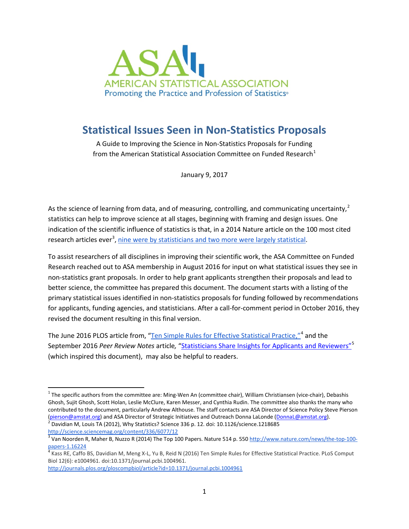

## **Statistical Issues Seen in Non-Statistics Proposals**

A Guide to Improving the Science in Non-Statistics Proposals for Funding from the American Statistical Association Committee on Funded Research $1$ 

January 9, 2017

As the science of learning from data, and of measuring, controlling, and communicating uncertainty,<sup>[2](#page-0-1)</sup> statistics can help to improve science at all stages, beginning with framing and design issues. One indication of the scientific influence of statistics is that, in a 2014 Nature article on the 100 most cited research articles ever<sup>[3](#page-0-2)</sup>, [nine were by statisticians and two more were largely statistical.](http://community.amstat.org/blogs/steve-pierson/2014/11/10/statisticians-prominent-in-top-100-cited-article-list)

To assist researchers of all disciplines in improving their scientific work, the ASA Committee on Funded Research reached out to ASA membership in August 2016 for input on what statistical issues they see in non-statistics grant proposals. In order to help grant applicants strengthen their proposals and lead to better science, the committee has prepared this document. The document starts with a listing of the primary statistical issues identified in non-statistics proposals for funding followed by recommendations for applicants, funding agencies, and statisticians. After a call-for-comment period in October 2016, they revised the document resulting in this final version.

The June 2016 PLOS article from, ["Ten Simple Rules for Effective Statistical Practice,](http://journals.plos.org/ploscompbiol/article?id=10.1371/journal.pcbi.1004961)"<sup>[4](#page-0-3)</sup> and the September 2016 *Peer Review Notes* article, "<u>Statisticians Share Insights for Applicants and Reviewers"<sup>[5](#page-0-4)</sup></u> (which inspired this document), may also be helpful to readers.

<span id="page-0-0"></span> $1$  The specific authors from the committee are: Ming-Wen An (committee chair), William Christiansen (vice-chair), Debashis Ghosh, Sujit Ghosh, Scott Holan, Leslie McClure, Karen Messer, and Cynthia Rudin. The committee also thanks the many who contributed to the document, particularly Andrew Althouse. The staff contacts are ASA Director of Science Policy Steve Pierson [\(pierson@amstat.org\)](mailto:pierson@amstat.org) and ASA Director of Strategic Initiatives and Outreach Donna LaLonde [\(DonnaL@amstat.org\)](mailto:DonnaL@amstat.org).<br><sup>[2](mailto:pierson@amstat.org)</sup> Davidian M, Louis TA (2012), Why Statistics? Science 336 p. 12. doi: 10.1126/science.1218685

<span id="page-0-1"></span><http://science.sciencemag.org/content/336/6077/12>

<span id="page-0-2"></span> $3$  Van Noorden R, Maher B, Nuzzo R (2014) The Top 100 Papers. Nature 514 p. 550 [http://www.nature.com/news/the-top-100-](http://www.nature.com/news/the-top-100-papers-1.16224)

<span id="page-0-3"></span>[papers-1.16224](http://www.nature.com/news/the-top-100-papers-1.16224)<br><sup>4</sup> Kass RE, Caffo BS, Davidian M, Meng X-L, Yu B, Reid N (2016) Ten Simple Rules for Effective Statistical Practice. PLoS Comput Biol 12(6): e1004961. doi:10.1371/journal.pcbi.1004961.

<span id="page-0-4"></span><http://journals.plos.org/ploscompbiol/article?id=10.1371/journal.pcbi.1004961>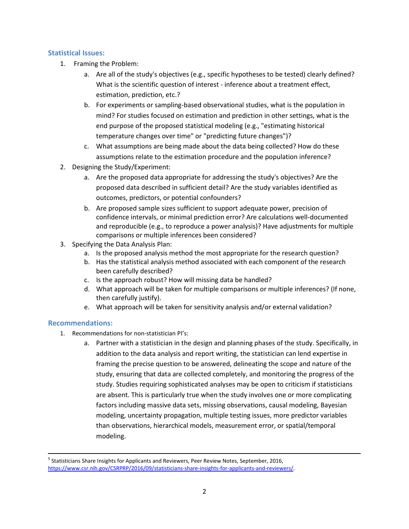## **Statistical Issues:**

- 1. Framing the Problem:
	- a. Are all of the study's objectives (e.g., specific hypotheses to be tested) clearly defined? What is the scientific question of interest - inference about a treatment effect, estimation, prediction, etc.?
	- b. For experiments or sampling-based observational studies, what is the population in mind? For studies focused on estimation and prediction in other settings, what is the end purpose of the proposed statistical modeling (e.g., "estimating historical temperature changes over time" or "predicting future changes")?
	- c. What assumptions are being made about the data being collected? How do these assumptions relate to the estimation procedure and the population inference?
- 2. Designing the Study/Experiment:
	- a. Are the proposed data appropriate for addressing the study's objectives? Are the proposed data described in sufficient detail? Are the study variables identified as outcomes, predictors, or potential confounders?
	- b. Are proposed sample sizes sufficient to support adequate power, precision of confidence intervals, or minimal prediction error? Are calculations well-documented and reproducible (e.g., to reproduce a power analysis)? Have adjustments for multiple comparisons or multiple inferences been considered?
- 3. Specifying the Data Analysis Plan:
	- a. Is the proposed analysis method the most appropriate for the research question?
	- b. Has the statistical analysis method associated with each component of the research been carefully described?
	- c. Is the approach robust? How will missing data be handled?
	- d. What approach will be taken for multiple comparisons or multiple inferences? (If none, then carefully justify).
	- e. What approach will be taken for sensitivity analysis and/or external validation?

## **Recommendations:**

- 1. Recommendations for non-statistician PI's:
	- a. Partner with a statistician in the design and planning phases of the study. Specifically, in addition to the data analysis and report writing, the statistician can lend expertise in framing the precise question to be answered, delineating the scope and nature of the study, ensuring that data are collected completely, and monitoring the progress of the study. Studies requiring sophisticated analyses may be open to criticism if statisticians are absent. This is particularly true when the study involves one or more complicating factors including massive data sets, missing observations, causal modeling, Bayesian modeling, uncertainty propagation, multiple testing issues, more predictor variables than observations, hierarchical models, measurement error, or spatial/temporal modeling.

 <sup>5</sup> Statisticians Share Insights for Applicants and Reviewers, Peer Review Notes, September, 2016, [https://www.csr.nih.gov/CSRPRP/2016/09/statisticians-share-insights-for-applicants-and-reviewers/.](https://www.csr.nih.gov/CSRPRP/2016/09/statisticians-share-insights-for-applicants-and-reviewers/)